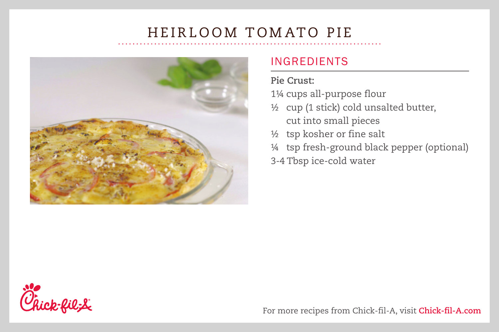

### INGREDIENTS

#### **Pie Crust:**

1¼ cups all-purpose flour

- ½ cup (1 stick) cold unsalted butter, cut into small pieces
- 1/2 tsp kosher or fine salt
- ¼ tsp fresh-ground black pepper (optional)

3-4 Tbsp ice-cold water



For more recipes from Chick-fil-A, visit **Chick-fil-A.com**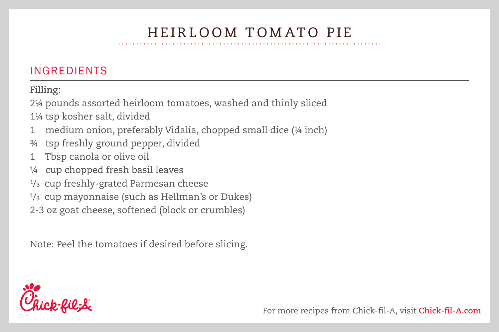### INGREDIENTS

**Filling:**

2¼ pounds assorted heirloom tomatoes, washed and thinly sliced

1¼ tsp kosher salt, divided

- 1 medium onion, preferably Vidalia, chopped small dice (14 inch)
- 3/4 tsp freshly ground pepper, divided
- 1 Tbsp canola or olive oil
- ¼ cup chopped fresh basil leaves
- 1/3 cup freshly-grated Parmesan cheese
- 1/3 cup mayonnaise (such as Hellman's or Dukes)
- 2-3 oz goat cheese, softened (block or crumbles)

Note: Peel the tomatoes if desired before slicing.

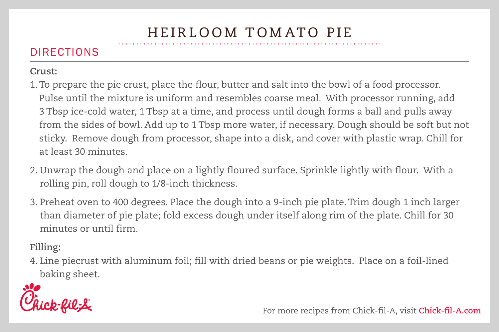### DIRECTIONS

#### **Crust:**

- 1. To prepare the pie crust, place the flour, butter and salt into the bowl of a food processor. Pulse until the mixture is uniform and resembles coarse meal. With processor running, add 3 Tbsp ice-cold water, 1 Tbsp at a time, and process until dough forms a ball and pulls away from the sides of bowl. Add up to 1 Tbsp more water, if necessary. Dough should be soft but not sticky. Remove dough from processor, shape into a disk, and cover with plastic wrap. Chill for at least 30 minutes.
- 2. Unwrap the dough and place on a lightly floured surface. Sprinkle lightly with flour. With a rolling pin, roll dough to 1/8-inch thickness.
- 3. Preheat oven to 400 degrees. Place the dough into a 9-inch pie plate. Trim dough 1 inch larger than diameter of pie plate; fold excess dough under itself along rim of the plate. Chill for 30 minutes or until firm.

#### **Filling:**

4. Line piecrust with aluminum foil; fill with dried beans or pie weights. Place on a foil-lined baking sheet.



For more recipes from Chick-fil-A, visit **Chick-fil-A.com**